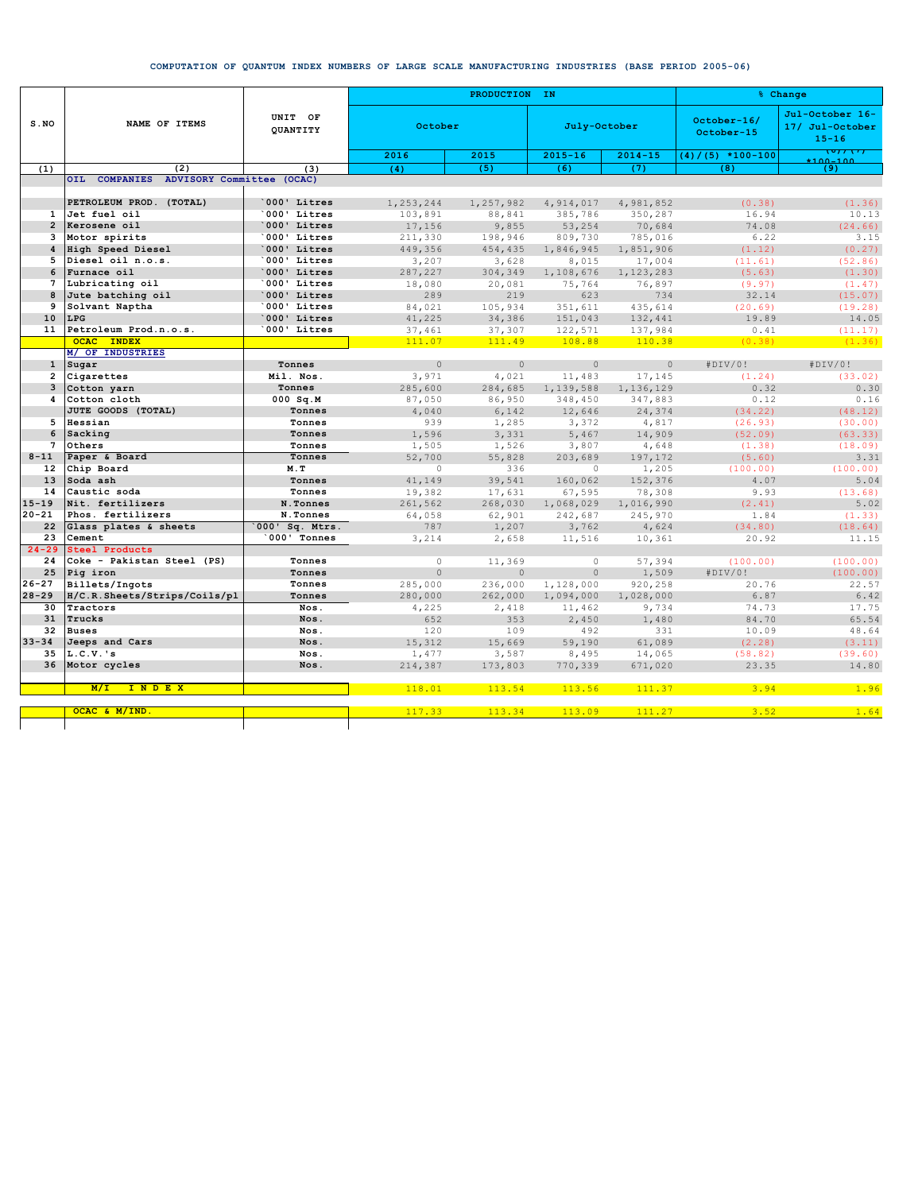## **COMPUTATION OF QUANTUM INDEX NUMBERS OF LARGE SCALE MANUFACTURING INDUSTRIES (BASE PERIOD 2005-06)**

|                        | NAME OF ITEMS                           | UNIT OF<br>QUANTITY | PRODUCTION IN |                |                  |                      | % Change                  |                                                 |
|------------------------|-----------------------------------------|---------------------|---------------|----------------|------------------|----------------------|---------------------------|-------------------------------------------------|
| S.NO                   |                                         |                     | October       |                | July-October     |                      | October-16/<br>October-15 | Jul-October 16-<br>17/ Jul-October<br>$15 - 16$ |
|                        |                                         |                     | 2016          | 2015           | $2015 - 16$      | $2014 - 15$          | $(4) / (5) * 100 - 100$   | . <del>.</del>                                  |
| (1)                    | (2)                                     | (3)                 | (4)           | (5)            | (6)              | (7)                  | (8)                       | (9)                                             |
|                        | OIL COMPANIES ADVISORY Committee (OCAC) |                     |               |                |                  |                      |                           |                                                 |
|                        |                                         |                     |               |                |                  |                      |                           |                                                 |
|                        | PETROLEUM PROD. (TOTAL)                 | 000' Litres         | 1,253,244     | 1,257,982      | 4,914,017        | 4,981,852            | (0.38)                    | (1.36)                                          |
| $\mathbf{1}$           | Jet fuel oil                            | 000' Litres         | 103,891       | 88,841         | 385,786          | 350,287              | 16.94                     | 10.13                                           |
| $\overline{2}$         | Kerosene oil                            | 000' Litres         | 17,156        | 9,855          | 53,254           | 70,684               | 74.08                     | (24.66)                                         |
| 3                      | Motor spirits                           | 000' Litres         | 211,330       | 198,946        | 809,730          | 785,016              | 6.22                      | 3.15                                            |
| 4                      | High Speed Diesel                       | 000' Litres         | 449,356       | 454,435        | 1,846,945        | 1,851,906            | (1.12)                    | (0.27)                                          |
| 5                      | Diesel oil n.o.s.                       | 000' Litres         | 3,207         | 3,628          | 8,015            | 17,004               | (11.61)                   | (52.86)                                         |
| 6                      | Furnace oil                             | 000' Litres         | 287,227       | 304,349        | 1,108,676        | 1,123,283            | (5.63)                    | (1.30)                                          |
| $7\phantom{.0}$        | Lubricating oil                         | 000' Litres         | 18,080        | 20,081         | 75,764           | 76,897               | (9.97)                    | (1.47)                                          |
| 8                      | Jute batching oil                       | 000' Litres         | 289           | 219            | 623              | 734                  | 32.14                     | (15.07)                                         |
| 9                      | Solvant Naptha                          | 000' Litres         | 84,021        | 105,934        | 351,611          | 435,614              | (20.69)                   | (19.28)                                         |
| 10                     | <b>LPG</b>                              | 000' Litres         | 41,225        | 34,386         | 151,043          | 132,441              | 19.89                     | 14.05                                           |
| 11                     | Petroleum Prod.n.o.s.                   | 000' Litres         | 37,461        | 37,307         | 122,571          | 137,984              | 0.41                      | (11.17)                                         |
|                        | <b>OCAC INDEX</b>                       |                     | 111.07        | 111.49         | 108.88           | 110.38               | (0.38)                    | (1.36)                                          |
|                        | M/ OF INDUSTRIES                        |                     |               |                |                  |                      |                           |                                                 |
| $\mathbf{1}$           | Sugar                                   | Tonnes              | $\circ$       | $\circ$        | $\circ$          | $\circ$              | #DIV/0!                   | #DIV/0!                                         |
| $\overline{a}$         | Cigarettes                              | Mil. Nos.           | 3,971         | 4,021          | 11,483           | 17,145               | (1.24)                    | (33.02)                                         |
| 3                      | Cotton yarn                             | Tonnes              | 285,600       | 284,685        | 1,139,588        | 1,136,129            | 0.32                      | 0.30                                            |
| 4                      | Cotton cloth                            | $000$ Sq.M          | 87,050        | 86,950         | 348,450          | 347,883              | 0.12                      | 0.16                                            |
|                        | JUTE GOODS (TOTAL)                      | Tonnes              | 4,040         | 6,142          | 12,646           | 24,374               | (34.22)                   | (48.12)                                         |
| 5                      | Hessian                                 | Tonnes              | 939           | 1,285          | 3,372            | 4,817                | (26.93)                   | (30.00)                                         |
| 6                      | Sacking                                 | Tonnes              | 1,596         | 3,331          | 5,467            | 14,909               | (52.09)                   | (63.33)                                         |
| $7\phantom{1}$         | Others                                  | Tonnes              | 1,505         | 1,526          | 3,807            | 4,648                | (1.38)                    | (18.09)                                         |
| $8 - 11$               | Paper & Board                           | Tonnes              | 52,700        | 55,828         | 203,689          | 197,172              | (5.60)                    | 3.31                                            |
| 12 <sup>2</sup><br>13  | Chip Board                              | M.T                 | $\circ$       | 336            | $\circ$          | 1,205                | (100.00)                  | (100.00)                                        |
|                        | Soda ash                                | Tonnes              | 41,149        | 39,541         | 160,062          | 152,376              | 4.07                      | 5.04                                            |
| 14                     | Caustic soda                            | Tonnes<br>N.Tonnes  | 19,382        | 17,631         | 67,595           | 78,308               | 9.93                      | (13.68)                                         |
| $15 - 19$<br>$20 - 21$ | Nit. fertilizers<br>Phos. fertilizers   | N.Tonnes            | 261,562       | 268,030        | 1,068,029        | 1,016,990<br>245,970 | (2.41)<br>1.84            | 5.02<br>(1.33)                                  |
| 22                     | Glass plates & sheets                   | $000'$ Sq. Mtrs.    | 64,058<br>787 | 62,901         | 242,687<br>3,762 | 4,624                | (34.80)                   | (18.64)                                         |
| 23                     | Cement                                  | $000'$ Tonnes       | 3,214         | 1,207<br>2,658 | 11,516           | 10,361               | 20.92                     | 11.15                                           |
| $24 - 29$              | Steel Products                          |                     |               |                |                  |                      |                           |                                                 |
| 24                     | Coke - Pakistan Steel (PS)              | Tonnes              | $\circ$       | 11,369         | $\circ$          | 57,394               | (100.00)                  | (100.00)                                        |
| 25                     | Pig iron                                | Tonnes              | $\Omega$      | $\Omega$       | $\Omega$         | 1,509                | #DIV/0!                   | (100.00)                                        |
| $26 - 27$              | Billets/Ingots                          | Tonnes              | 285,000       | 236,000        | 1,128,000        | 920,258              | 20.76                     | 22.57                                           |
| $28 - 29$              | H/C.R.Sheets/Strips/Coils/pl            | Tonnes              | 280,000       | 262,000        | 1,094,000        | 1,028,000            | 6.87                      | 6.42                                            |
| 30                     | Tractors                                | Nos.                | 4,225         | 2,418          | 11,462           | 9,734                | 74.73                     | 17.75                                           |
| 31                     | Trucks                                  | Nos.                | 652           | 353            | 2,450            | 1,480                | 84.70                     | 65.54                                           |
| 32                     | <b>Buses</b>                            | Nos.                | 120           | 109            | 492              | 331                  | 10.09                     | 48.64                                           |
| $33 - 34$              | Jeeps and Cars                          | Nos.                | 15,312        | 15,669         | 59,190           | 61,089               | (2.28)                    | (3.11)                                          |
| 35                     | L.C.V.'s                                | Nos.                | 1,477         | 3,587          | 8,495            | 14,065               | (58.82)                   | (39.60)                                         |
|                        | 36 Motor cycles                         | Nos.                | 214,387       | 173,803        | 770,339          | 671,020              | 23.35                     | 14.80                                           |
|                        |                                         |                     |               |                |                  |                      |                           |                                                 |
|                        | INDEX<br>M/L                            |                     | 118.01        | 113.54         | 113.56           | 111.37               | 3.94                      | 1.96                                            |
|                        | OCAC & M/IND.                           |                     | 117.33        | 113.34         | 113.09           | 111.27               | 3.52                      | 1.64                                            |
|                        |                                         |                     |               |                |                  |                      |                           |                                                 |